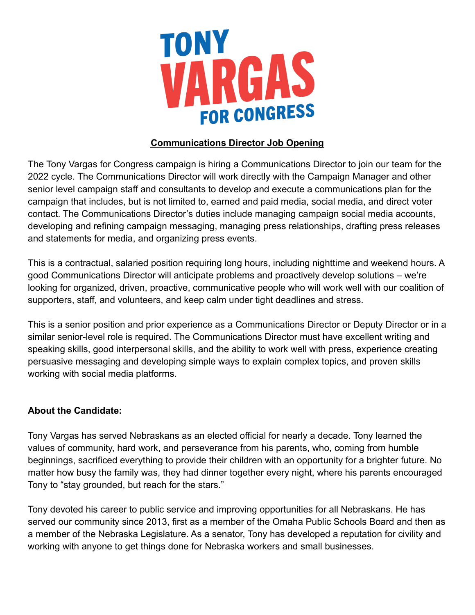

#### **Communications Director Job Opening**

The Tony Vargas for Congress campaign is hiring a Communications Director to join our team for the 2022 cycle. The Communications Director will work directly with the Campaign Manager and other senior level campaign staff and consultants to develop and execute a communications plan for the campaign that includes, but is not limited to, earned and paid media, social media, and direct voter contact. The Communications Director's duties include managing campaign social media accounts, developing and refining campaign messaging, managing press relationships, drafting press releases and statements for media, and organizing press events.

This is a contractual, salaried position requiring long hours, including nighttime and weekend hours. A good Communications Director will anticipate problems and proactively develop solutions – we're looking for organized, driven, proactive, communicative people who will work well with our coalition of supporters, staff, and volunteers, and keep calm under tight deadlines and stress.

This is a senior position and prior experience as a Communications Director or Deputy Director or in a similar senior-level role is required. The Communications Director must have excellent writing and speaking skills, good interpersonal skills, and the ability to work well with press, experience creating persuasive messaging and developing simple ways to explain complex topics, and proven skills working with social media platforms.

#### **About the Candidate:**

Tony Vargas has served Nebraskans as an elected official for nearly a decade. Tony learned the values of community, hard work, and perseverance from his parents, who, coming from humble beginnings, sacrificed everything to provide their children with an opportunity for a brighter future. No matter how busy the family was, they had dinner together every night, where his parents encouraged Tony to "stay grounded, but reach for the stars."

Tony devoted his career to public service and improving opportunities for all Nebraskans. He has served our community since 2013, first as a member of the Omaha Public Schools Board and then as a member of the Nebraska Legislature. As a senator, Tony has developed a reputation for civility and working with anyone to get things done for Nebraska workers and small businesses.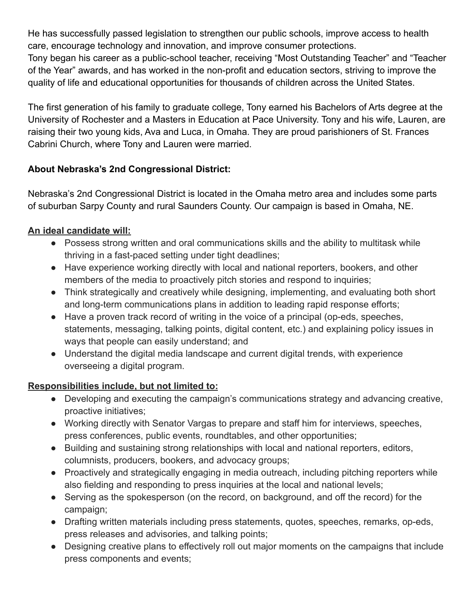He has successfully passed legislation to strengthen our public schools, improve access to health care, encourage technology and innovation, and improve consumer protections.

Tony began his career as a public-school teacher, receiving "Most Outstanding Teacher" and "Teacher of the Year" awards, and has worked in the non-profit and education sectors, striving to improve the quality of life and educational opportunities for thousands of children across the United States.

The first generation of his family to graduate college, Tony earned his Bachelors of Arts degree at the University of Rochester and a Masters in Education at Pace University. Tony and his wife, Lauren, are raising their two young kids, Ava and Luca, in Omaha. They are proud parishioners of St. Frances Cabrini Church, where Tony and Lauren were married.

## **About Nebraska's 2nd Congressional District:**

Nebraska's 2nd Congressional District is located in the Omaha metro area and includes some parts of suburban Sarpy County and rural Saunders County. Our campaign is based in Omaha, NE.

## **An ideal candidate will:**

- Possess strong written and oral communications skills and the ability to multitask while thriving in a fast-paced setting under tight deadlines;
- Have experience working directly with local and national reporters, bookers, and other members of the media to proactively pitch stories and respond to inquiries;
- Think strategically and creatively while designing, implementing, and evaluating both short and long-term communications plans in addition to leading rapid response efforts;
- Have a proven track record of writing in the voice of a principal (op-eds, speeches, statements, messaging, talking points, digital content, etc.) and explaining policy issues in ways that people can easily understand; and
- Understand the digital media landscape and current digital trends, with experience overseeing a digital program.

# **Responsibilities include, but not limited to:**

- Developing and executing the campaign's communications strategy and advancing creative, proactive initiatives;
- Working directly with Senator Vargas to prepare and staff him for interviews, speeches, press conferences, public events, roundtables, and other opportunities;
- Building and sustaining strong relationships with local and national reporters, editors, columnists, producers, bookers, and advocacy groups;
- Proactively and strategically engaging in media outreach, including pitching reporters while also fielding and responding to press inquiries at the local and national levels;
- Serving as the spokesperson (on the record, on background, and off the record) for the campaign;
- Drafting written materials including press statements, quotes, speeches, remarks, op-eds, press releases and advisories, and talking points;
- Designing creative plans to effectively roll out major moments on the campaigns that include press components and events;